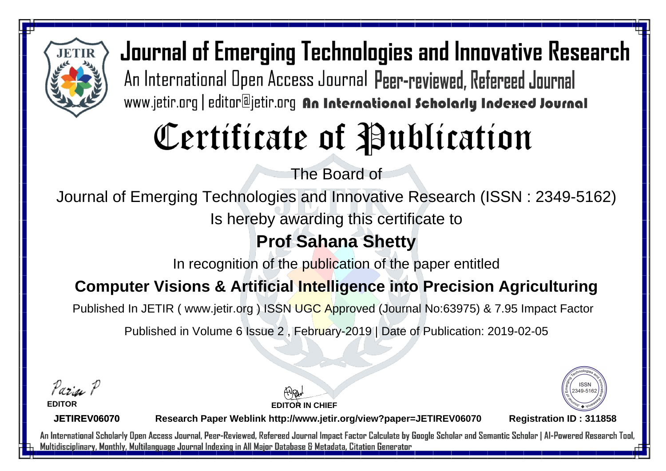

Journal of Emerging Technologies and Innovative Research An International Open Access Journal Peer-reviewed, Refereed Journal www.jetir.org | editor@jetir.org An International Scholarly Indexed Journal

# Certificate of Publication

The Board of

Journal of Emerging Technologies and Innovative Research (ISSN : 2349-5162)

Is hereby awarding this certificate to

### **Prof Sahana Shetty**

In recognition of the publication of the paper entitled

### **Computer Visions & Artificial Intelligence into Precision Agriculturing**

Published In JETIR ( www.jetir.org ) ISSN UGC Approved (Journal No: 63975) & 7.95 Impact Factor

Published in Volume 6 Issue 2 , February-2019 | Date of Publication: 2019-02-05

Parin P



**JETIREV06070**

**EDITOR IN CHIEF**



**Research Paper Weblink http://www.jetir.org/view?paper=JETIREV06070 Registration ID : 311858**

An International Scholarly Open Access Journal, Peer-Reviewed, Refereed Journal Impact Factor Calculate by Google Scholar and Semantic Scholar | Al-Powered Research Tool, Multidisciplinary, Monthly, Multilanguage Journal Indexing in All Major Database & Metadata, Citation Generator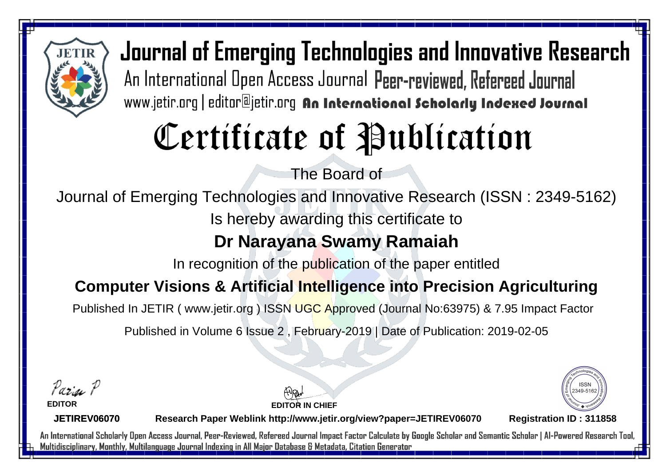

Journal of Emerging Technologies and Innovative Research An International Open Access Journal Peer-reviewed, Refereed Journal www.jetir.org | editor@jetir.org An International Scholarly Indexed Journal

# Certificate of Publication

The Board of

Journal of Emerging Technologies and Innovative Research (ISSN : 2349-5162)

Is hereby awarding this certificate to

### **Dr Narayana Swamy Ramaiah**

In recognition of the publication of the paper entitled

#### **Computer Visions & Artificial Intelligence into Precision Agriculturing**

Published In JETIR ( www.jetir.org ) ISSN UGC Approved (Journal No: 63975) & 7.95 Impact Factor

Published in Volume 6 Issue 2 , February-2019 | Date of Publication: 2019-02-05

Parin P **EDITOR**



**JETIREV06070**

**Research Paper Weblink http://www.jetir.org/view?paper=JETIREV06070 Registration ID : 311858**

**EDITOR IN CHIEF**

An International Scholarly Open Access Journal, Peer-Reviewed, Refereed Journal Impact Factor Calculate by Google Scholar and Semantic Scholar | Al-Powered Research Tool, Multidisciplinary, Monthly, Multilanguage Journal Indexing in All Major Database & Metadata, Citation Generator